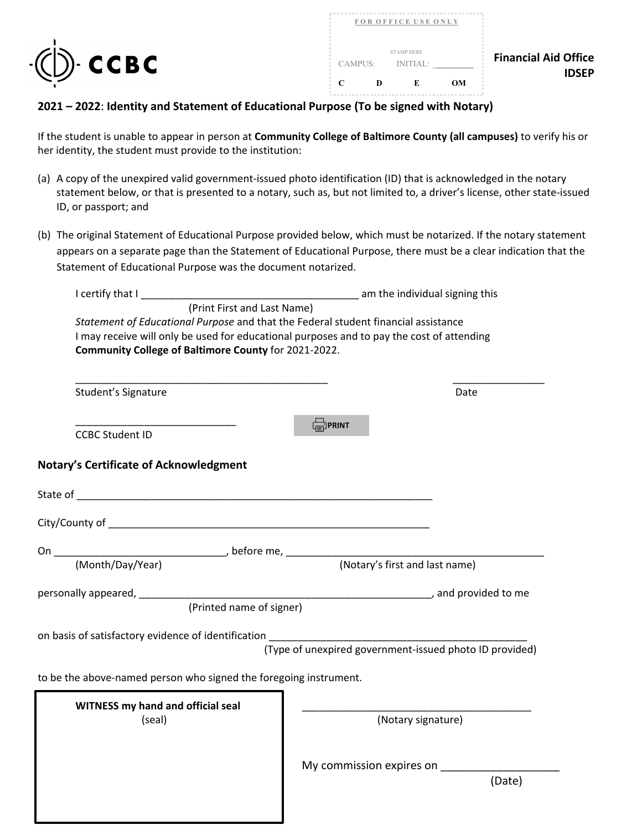



## **2021 – 2022**: **Identity and Statement of Educational Purpose (To be signed with Notary)**

If the student is unable to appear in person at **Community College of Baltimore County (all campuses)** to verify his or her identity, the student must provide to the institution:

- (a) A copy of the unexpired valid government-issued photo identification (ID) that is acknowledged in the notary statement below, or that is presented to a notary, such as, but not limited to, a driver's license, other state-issued ID, or passport; and
- appears on a separate page than the Statement of Educational Purpose, there must be a clear indication that the (b) The original Statement of Educational Purpose provided below, which must be notarized. If the notary statement Statement of Educational Purpose was the document notarized.

| I certify that I                                                                   | am the individual signing this and the individual signing this                            |  |  |  |  |
|------------------------------------------------------------------------------------|-------------------------------------------------------------------------------------------|--|--|--|--|
| (Print First and Last Name)                                                        |                                                                                           |  |  |  |  |
| Statement of Educational Purpose and that the Federal student financial assistance |                                                                                           |  |  |  |  |
|                                                                                    | I may receive will only be used for educational purposes and to pay the cost of attending |  |  |  |  |
| Community College of Baltimore County for 2021-2022.                               |                                                                                           |  |  |  |  |
|                                                                                    |                                                                                           |  |  |  |  |
|                                                                                    |                                                                                           |  |  |  |  |
| Student's Signature                                                                | Date                                                                                      |  |  |  |  |
|                                                                                    |                                                                                           |  |  |  |  |
|                                                                                    | <b>FORINT</b>                                                                             |  |  |  |  |
| <b>CCBC Student ID</b>                                                             |                                                                                           |  |  |  |  |
|                                                                                    |                                                                                           |  |  |  |  |
| <b>Notary's Certificate of Acknowledgment</b>                                      |                                                                                           |  |  |  |  |
|                                                                                    |                                                                                           |  |  |  |  |
|                                                                                    |                                                                                           |  |  |  |  |
|                                                                                    |                                                                                           |  |  |  |  |
|                                                                                    |                                                                                           |  |  |  |  |
|                                                                                    |                                                                                           |  |  |  |  |
|                                                                                    |                                                                                           |  |  |  |  |
|                                                                                    |                                                                                           |  |  |  |  |
| personally appeared, __________                                                    |                                                                                           |  |  |  |  |
| (Printed name of signer)                                                           |                                                                                           |  |  |  |  |
|                                                                                    |                                                                                           |  |  |  |  |
|                                                                                    |                                                                                           |  |  |  |  |
|                                                                                    | (Type of unexpired government-issued photo ID provided)                                   |  |  |  |  |
|                                                                                    |                                                                                           |  |  |  |  |
| to be the above-named person who signed the foregoing instrument.                  |                                                                                           |  |  |  |  |
|                                                                                    |                                                                                           |  |  |  |  |
| <b>WITNESS my hand and official seal</b>                                           |                                                                                           |  |  |  |  |
| (seal)                                                                             | (Notary signature)                                                                        |  |  |  |  |
|                                                                                    |                                                                                           |  |  |  |  |
|                                                                                    |                                                                                           |  |  |  |  |
|                                                                                    | My commission expires on                                                                  |  |  |  |  |
|                                                                                    | (Date)                                                                                    |  |  |  |  |
|                                                                                    |                                                                                           |  |  |  |  |
|                                                                                    |                                                                                           |  |  |  |  |